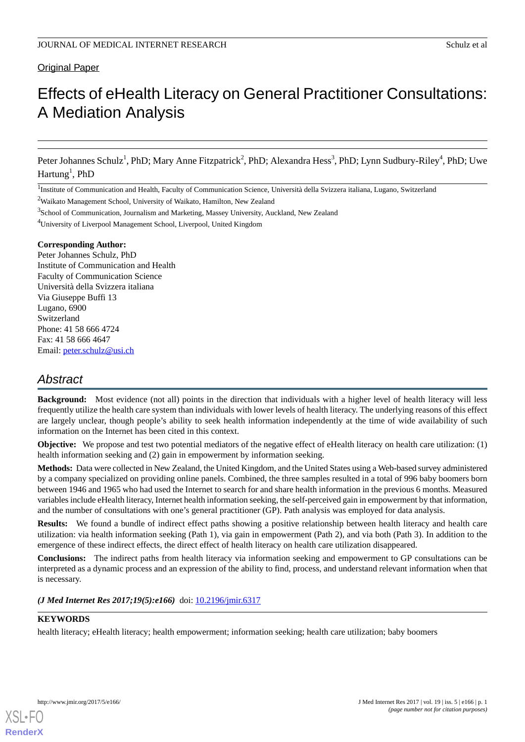# Original Paper

# Effects of eHealth Literacy on General Practitioner Consultations: A Mediation Analysis

Peter Johannes Schulz<sup>1</sup>, PhD; Mary Anne Fitzpatrick<sup>2</sup>, PhD; Alexandra Hess<sup>3</sup>, PhD; Lynn Sudbury-Riley<sup>4</sup>, PhD; Uwe  $\text{Hartung}^1$ , PhD

<sup>1</sup>Institute of Communication and Health, Faculty of Communication Science, Università della Svizzera italiana, Lugano, Switzerland

<sup>2</sup>Waikato Management School, University of Waikato, Hamilton, New Zealand

<sup>3</sup>School of Communication, Journalism and Marketing, Massey University, Auckland, New Zealand

<sup>4</sup>University of Liverpool Management School, Liverpool, United Kingdom

#### **Corresponding Author:**

Peter Johannes Schulz, PhD Institute of Communication and Health Faculty of Communication Science Università della Svizzera italiana Via Giuseppe Buffi 13 Lugano, 6900 Switzerland Phone: 41 58 666 4724 Fax: 41 58 666 4647 Email: [peter.schulz@usi.ch](mailto:peter.schulz@usi.ch)

# *Abstract*

**Background:** Most evidence (not all) points in the direction that individuals with a higher level of health literacy will less frequently utilize the health care system than individuals with lower levels of health literacy. The underlying reasons of this effect are largely unclear, though people's ability to seek health information independently at the time of wide availability of such information on the Internet has been cited in this context.

**Objective:** We propose and test two potential mediators of the negative effect of eHealth literacy on health care utilization: (1) health information seeking and (2) gain in empowerment by information seeking.

**Methods:** Data were collected in New Zealand, the United Kingdom, and the United States using a Web-based survey administered by a company specialized on providing online panels. Combined, the three samples resulted in a total of 996 baby boomers born between 1946 and 1965 who had used the Internet to search for and share health information in the previous 6 months. Measured variables include eHealth literacy, Internet health information seeking, the self-perceived gain in empowerment by that information, and the number of consultations with one's general practitioner (GP). Path analysis was employed for data analysis.

**Results:** We found a bundle of indirect effect paths showing a positive relationship between health literacy and health care utilization: via health information seeking (Path 1), via gain in empowerment (Path 2), and via both (Path 3). In addition to the emergence of these indirect effects, the direct effect of health literacy on health care utilization disappeared.

**Conclusions:** The indirect paths from health literacy via information seeking and empowerment to GP consultations can be interpreted as a dynamic process and an expression of the ability to find, process, and understand relevant information when that is necessary.

*(J Med Internet Res 2017;19(5):e166)* doi:  $10.2196/$ jmir.6317

# **KEYWORDS**

health literacy; eHealth literacy; health empowerment; information seeking; health care utilization; baby boomers

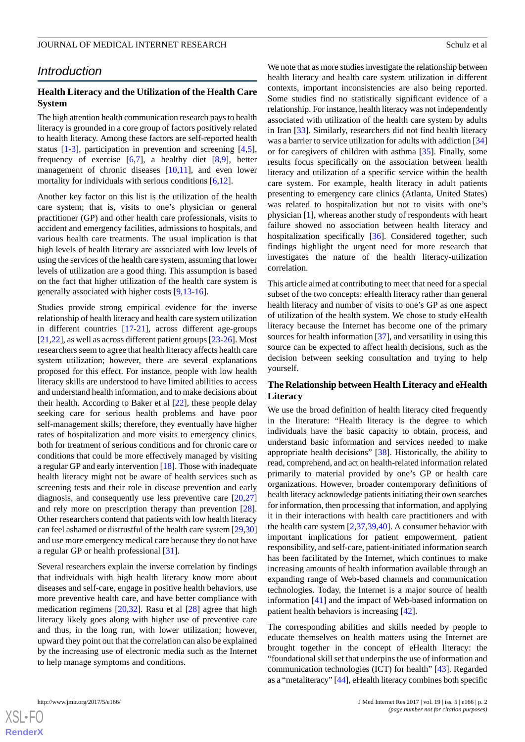# *Introduction*

# **Health Literacy and the Utilization of the Health Care System**

The high attention health communication research pays to health literacy is grounded in a core group of factors positively related to health literacy. Among these factors are self-reported health status [[1-](#page-7-0)[3](#page-7-1)], participation in prevention and screening [\[4](#page-8-0),[5\]](#page-8-1), frequency of exercise  $[6,7]$  $[6,7]$  $[6,7]$  $[6,7]$ , a healthy diet  $[8,9]$  $[8,9]$  $[8,9]$  $[8,9]$ , better management of chronic diseases [[10](#page-8-6)[,11](#page-8-7)], and even lower mortality for individuals with serious conditions [\[6](#page-8-2),[12\]](#page-8-8).

Another key factor on this list is the utilization of the health care system; that is, visits to one's physician or general practitioner (GP) and other health care professionals, visits to accident and emergency facilities, admissions to hospitals, and various health care treatments. The usual implication is that high levels of health literacy are associated with low levels of using the services of the health care system, assuming that lower levels of utilization are a good thing. This assumption is based on the fact that higher utilization of the health care system is generally associated with higher costs [[9,](#page-8-5)[13-](#page-8-9)[16\]](#page-8-10).

Studies provide strong empirical evidence for the inverse relationship of health literacy and health care system utilization in different countries [[17-](#page-8-11)[21](#page-8-12)], across different age-groups [[21](#page-8-12)[,22](#page-8-13)], as well as across different patient groups [\[23](#page-8-14)[-26](#page-8-15)]. Most researchers seem to agree that health literacy affects health care system utilization; however, there are several explanations proposed for this effect. For instance, people with low health literacy skills are understood to have limited abilities to access and understand health information, and to make decisions about their health. According to Baker et al [[22\]](#page-8-13), these people delay seeking care for serious health problems and have poor self-management skills; therefore, they eventually have higher rates of hospitalization and more visits to emergency clinics, both for treatment of serious conditions and for chronic care or conditions that could be more effectively managed by visiting a regular GP and early intervention [[18\]](#page-8-16). Those with inadequate health literacy might not be aware of health services such as screening tests and their role in disease prevention and early diagnosis, and consequently use less preventive care [[20](#page-8-17)[,27](#page-9-0)] and rely more on prescription therapy than prevention [[28\]](#page-9-1). Other researchers contend that patients with low health literacy can feel ashamed or distrustful of the health care system [\[29](#page-9-2)[,30](#page-9-3)] and use more emergency medical care because they do not have a regular GP or health professional [[31\]](#page-9-4).

Several researchers explain the inverse correlation by findings that individuals with high health literacy know more about diseases and self-care, engage in positive health behaviors, use more preventive health care, and have better compliance with medication regimens [[20,](#page-8-17)[32](#page-9-5)]. Rasu et al [[28\]](#page-9-1) agree that high literacy likely goes along with higher use of preventive care and thus, in the long run, with lower utilization; however, upward they point out that the correlation can also be explained by the increasing use of electronic media such as the Internet to help manage symptoms and conditions.

We note that as more studies investigate the relationship between health literacy and health care system utilization in different contexts, important inconsistencies are also being reported. Some studies find no statistically significant evidence of a relationship. For instance, health literacy was not independently associated with utilization of the health care system by adults in Iran [[33\]](#page-9-6). Similarly, researchers did not find health literacy was a barrier to service utilization for adults with addiction [[34\]](#page-9-7) or for caregivers of children with asthma [[35\]](#page-9-8). Finally, some results focus specifically on the association between health literacy and utilization of a specific service within the health care system. For example, health literacy in adult patients presenting to emergency care clinics (Atlanta, United States) was related to hospitalization but not to visits with one's physician [[1](#page-7-0)], whereas another study of respondents with heart failure showed no association between health literacy and hospitalization specifically [\[36](#page-9-9)]. Considered together, such findings highlight the urgent need for more research that investigates the nature of the health literacy-utilization correlation.

This article aimed at contributing to meet that need for a special subset of the two concepts: eHealth literacy rather than general health literacy and number of visits to one's GP as one aspect of utilization of the health system. We chose to study eHealth literacy because the Internet has become one of the primary sources for health information [\[37](#page-9-10)], and versatility in using this source can be expected to affect health decisions, such as the decision between seeking consultation and trying to help yourself.

# **The Relationship between Health Literacy and eHealth Literacy**

We use the broad definition of health literacy cited frequently in the literature: "Health literacy is the degree to which individuals have the basic capacity to obtain, process, and understand basic information and services needed to make appropriate health decisions" [[38\]](#page-9-11). Historically, the ability to read, comprehend, and act on health-related information related primarily to material provided by one's GP or health care organizations. However, broader contemporary definitions of health literacy acknowledge patients initiating their own searches for information, then processing that information, and applying it in their interactions with health care practitioners and with the health care system [[2](#page-7-2)[,37](#page-9-10),[39](#page-9-12)[,40](#page-9-13)]. A consumer behavior with important implications for patient empowerment, patient responsibility, and self-care, patient-initiated information search has been facilitated by the Internet, which continues to make increasing amounts of health information available through an expanding range of Web-based channels and communication technologies. Today, the Internet is a major source of health information [[41\]](#page-9-14) and the impact of Web-based information on patient health behaviors is increasing [[42\]](#page-9-15).

The corresponding abilities and skills needed by people to educate themselves on health matters using the Internet are brought together in the concept of eHealth literacy: the "foundational skill set that underpins the use of information and communication technologies (ICT) for health" [\[43](#page-9-16)]. Regarded as a "metaliteracy" [\[44](#page-9-17)], eHealth literacy combines both specific

 $XS$ -FO **[RenderX](http://www.renderx.com/)**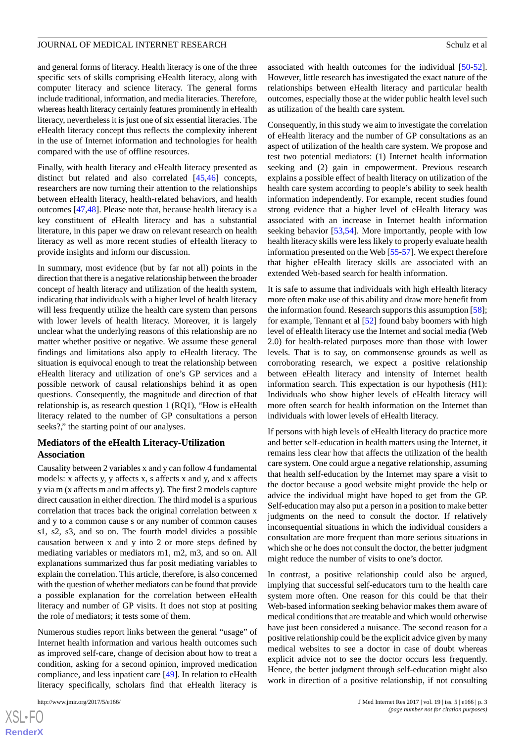and general forms of literacy. Health literacy is one of the three specific sets of skills comprising eHealth literacy, along with computer literacy and science literacy. The general forms include traditional, information, and media literacies. Therefore, whereas health literacy certainly features prominently in eHealth literacy, nevertheless it is just one of six essential literacies. The eHealth literacy concept thus reflects the complexity inherent in the use of Internet information and technologies for health compared with the use of offline resources.

Finally, with health literacy and eHealth literacy presented as distinct but related and also correlated [\[45](#page-9-18),[46\]](#page-9-19) concepts, researchers are now turning their attention to the relationships between eHealth literacy, health-related behaviors, and health outcomes [[47,](#page-9-20)[48](#page-9-21)]. Please note that, because health literacy is a key constituent of eHealth literacy and has a substantial literature, in this paper we draw on relevant research on health literacy as well as more recent studies of eHealth literacy to provide insights and inform our discussion.

In summary, most evidence (but by far not all) points in the direction that there is a negative relationship between the broader concept of health literacy and utilization of the health system, indicating that individuals with a higher level of health literacy will less frequently utilize the health care system than persons with lower levels of health literacy. Moreover, it is largely unclear what the underlying reasons of this relationship are no matter whether positive or negative. We assume these general findings and limitations also apply to eHealth literacy. The situation is equivocal enough to treat the relationship between eHealth literacy and utilization of one's GP services and a possible network of causal relationships behind it as open questions. Consequently, the magnitude and direction of that relationship is, as research question 1 (RQ1), "How is eHealth literacy related to the number of GP consultations a person seeks?," the starting point of our analyses.

# **Mediators of the eHealth Literacy-Utilization Association**

Causality between 2 variables x and y can follow 4 fundamental models: x affects y, y affects x, s affects x and y, and x affects y via m (x affects m and m affects y). The first 2 models capture direct causation in either direction. The third model is a spurious correlation that traces back the original correlation between x and y to a common cause s or any number of common causes s1, s2, s3, and so on. The fourth model divides a possible causation between x and y into 2 or more steps defined by mediating variables or mediators m1, m2, m3, and so on. All explanations summarized thus far posit mediating variables to explain the correlation. This article, therefore, is also concerned with the question of whether mediators can be found that provide a possible explanation for the correlation between eHealth literacy and number of GP visits. It does not stop at positing the role of mediators; it tests some of them.

Numerous studies report links between the general "usage" of Internet health information and various health outcomes such as improved self-care, change of decision about how to treat a condition, asking for a second opinion, improved medication compliance, and less inpatient care [\[49](#page-9-22)]. In relation to eHealth literacy specifically, scholars find that eHealth literacy is

associated with health outcomes for the individual [[50-](#page-9-23)[52\]](#page-10-0). However, little research has investigated the exact nature of the relationships between eHealth literacy and particular health outcomes, especially those at the wider public health level such as utilization of the health care system.

Consequently, in this study we aim to investigate the correlation of eHealth literacy and the number of GP consultations as an aspect of utilization of the health care system. We propose and test two potential mediators: (1) Internet health information seeking and (2) gain in empowerment. Previous research explains a possible effect of health literacy on utilization of the health care system according to people's ability to seek health information independently. For example, recent studies found strong evidence that a higher level of eHealth literacy was associated with an increase in Internet health information seeking behavior [[53](#page-10-1)[,54](#page-10-2)]. More importantly, people with low health literacy skills were less likely to properly evaluate health information presented on the Web [[55-](#page-10-3)[57\]](#page-10-4). We expect therefore that higher eHealth literacy skills are associated with an extended Web-based search for health information.

It is safe to assume that individuals with high eHealth literacy more often make use of this ability and draw more benefit from the information found. Research supports this assumption [[58\]](#page-10-5); for example, Tennant et al [\[52](#page-10-0)] found baby boomers with high level of eHealth literacy use the Internet and social media (Web 2.0) for health-related purposes more than those with lower levels. That is to say, on commonsense grounds as well as corroborating research, we expect a positive relationship between eHealth literacy and intensity of Internet health information search. This expectation is our hypothesis (H1): Individuals who show higher levels of eHealth literacy will more often search for health information on the Internet than individuals with lower levels of eHealth literacy.

If persons with high levels of eHealth literacy do practice more and better self-education in health matters using the Internet, it remains less clear how that affects the utilization of the health care system. One could argue a negative relationship, assuming that health self-education by the Internet may spare a visit to the doctor because a good website might provide the help or advice the individual might have hoped to get from the GP. Self-education may also put a person in a position to make better judgments on the need to consult the doctor. If relatively inconsequential situations in which the individual considers a consultation are more frequent than more serious situations in which she or he does not consult the doctor, the better judgment might reduce the number of visits to one's doctor.

In contrast, a positive relationship could also be argued, implying that successful self-educators turn to the health care system more often. One reason for this could be that their Web-based information seeking behavior makes them aware of medical conditions that are treatable and which would otherwise have just been considered a nuisance. The second reason for a positive relationship could be the explicit advice given by many medical websites to see a doctor in case of doubt whereas explicit advice not to see the doctor occurs less frequently. Hence, the better judgment through self-education might also work in direction of a positive relationship, if not consulting

```
XSL•FO
RenderX
```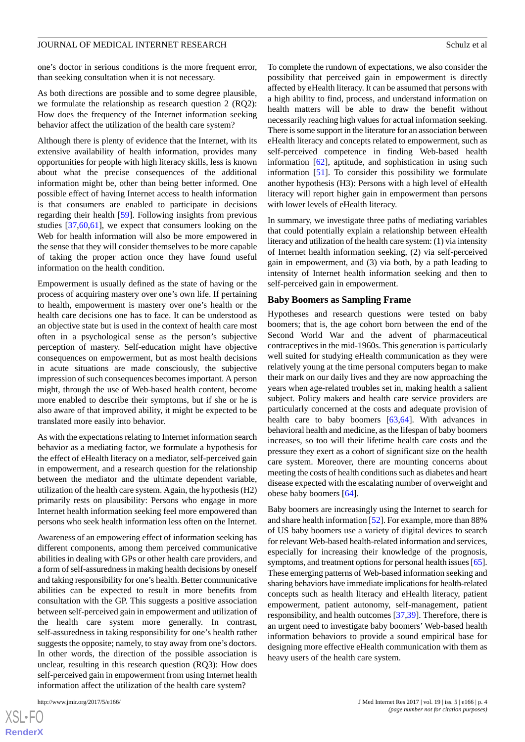one's doctor in serious conditions is the more frequent error, than seeking consultation when it is not necessary.

As both directions are possible and to some degree plausible, we formulate the relationship as research question 2 (RQ2): How does the frequency of the Internet information seeking behavior affect the utilization of the health care system?

Although there is plenty of evidence that the Internet, with its extensive availability of health information, provides many opportunities for people with high literacy skills, less is known about what the precise consequences of the additional information might be, other than being better informed. One possible effect of having Internet access to health information is that consumers are enabled to participate in decisions regarding their health [[59\]](#page-10-6). Following insights from previous studies [\[37](#page-9-10),[60](#page-10-7)[,61](#page-10-8)], we expect that consumers looking on the Web for health information will also be more empowered in the sense that they will consider themselves to be more capable of taking the proper action once they have found useful information on the health condition.

Empowerment is usually defined as the state of having or the process of acquiring mastery over one's own life. If pertaining to health, empowerment is mastery over one's health or the health care decisions one has to face. It can be understood as an objective state but is used in the context of health care most often in a psychological sense as the person's subjective perception of mastery. Self-education might have objective consequences on empowerment, but as most health decisions in acute situations are made consciously, the subjective impression of such consequences becomes important. A person might, through the use of Web-based health content, become more enabled to describe their symptoms, but if she or he is also aware of that improved ability, it might be expected to be translated more easily into behavior.

As with the expectations relating to Internet information search behavior as a mediating factor, we formulate a hypothesis for the effect of eHealth literacy on a mediator, self-perceived gain in empowerment, and a research question for the relationship between the mediator and the ultimate dependent variable, utilization of the health care system. Again, the hypothesis (H2) primarily rests on plausibility: Persons who engage in more Internet health information seeking feel more empowered than persons who seek health information less often on the Internet.

Awareness of an empowering effect of information seeking has different components, among them perceived communicative abilities in dealing with GPs or other health care providers, and a form of self-assuredness in making health decisions by oneself and taking responsibility for one's health. Better communicative abilities can be expected to result in more benefits from consultation with the GP. This suggests a positive association between self-perceived gain in empowerment and utilization of the health care system more generally. In contrast, self-assuredness in taking responsibility for one's health rather suggests the opposite; namely, to stay away from one's doctors. In other words, the direction of the possible association is unclear, resulting in this research question (RQ3): How does self-perceived gain in empowerment from using Internet health information affect the utilization of the health care system?

[XSL](http://www.w3.org/Style/XSL)•FO **[RenderX](http://www.renderx.com/)** To complete the rundown of expectations, we also consider the possibility that perceived gain in empowerment is directly affected by eHealth literacy. It can be assumed that persons with a high ability to find, process, and understand information on health matters will be able to draw the benefit without necessarily reaching high values for actual information seeking. There is some support in the literature for an association between eHealth literacy and concepts related to empowerment, such as self-perceived competence in finding Web-based health information [\[62](#page-10-9)], aptitude, and sophistication in using such information [[51\]](#page-9-24). To consider this possibility we formulate another hypothesis (H3): Persons with a high level of eHealth literacy will report higher gain in empowerment than persons with lower levels of eHealth literacy.

In summary, we investigate three paths of mediating variables that could potentially explain a relationship between eHealth literacy and utilization of the health care system: (1) via intensity of Internet health information seeking, (2) via self-perceived gain in empowerment, and (3) via both, by a path leading to intensity of Internet health information seeking and then to self-perceived gain in empowerment.

#### **Baby Boomers as Sampling Frame**

Hypotheses and research questions were tested on baby boomers; that is, the age cohort born between the end of the Second World War and the advent of pharmaceutical contraceptives in the mid-1960s. This generation is particularly well suited for studying eHealth communication as they were relatively young at the time personal computers began to make their mark on our daily lives and they are now approaching the years when age-related troubles set in, making health a salient subject. Policy makers and health care service providers are particularly concerned at the costs and adequate provision of health care to baby boomers [[63,](#page-10-10)[64](#page-10-11)]. With advances in behavioral health and medicine, as the lifespan of baby boomers increases, so too will their lifetime health care costs and the pressure they exert as a cohort of significant size on the health care system. Moreover, there are mounting concerns about meeting the costs of health conditions such as diabetes and heart disease expected with the escalating number of overweight and obese baby boomers [\[64](#page-10-11)].

Baby boomers are increasingly using the Internet to search for and share health information [[52\]](#page-10-0). For example, more than 88% of US baby boomers use a variety of digital devices to search for relevant Web-based health-related information and services, especially for increasing their knowledge of the prognosis, symptoms, and treatment options for personal health issues [\[65](#page-10-12)]. These emerging patterns of Web-based information seeking and sharing behaviors have immediate implications for health-related concepts such as health literacy and eHealth literacy, patient empowerment, patient autonomy, self-management, patient responsibility, and health outcomes [\[37](#page-9-10),[39\]](#page-9-12). Therefore, there is an urgent need to investigate baby boomers' Web-based health information behaviors to provide a sound empirical base for designing more effective eHealth communication with them as heavy users of the health care system.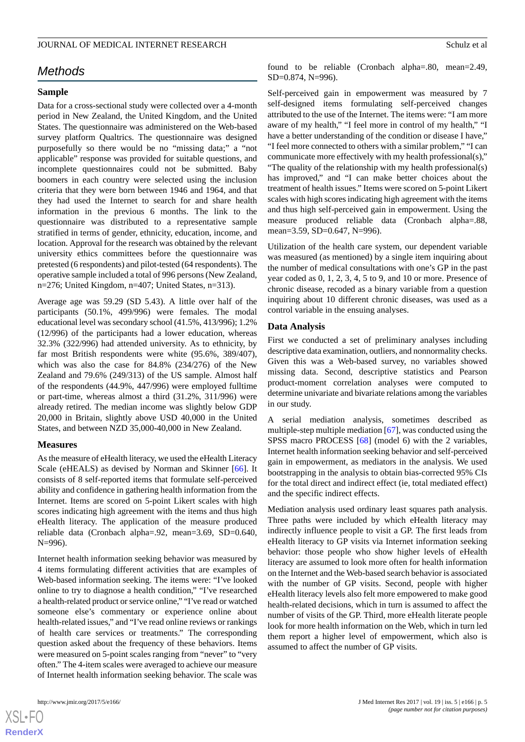# *Methods*

# **Sample**

Data for a cross-sectional study were collected over a 4-month period in New Zealand, the United Kingdom, and the United States. The questionnaire was administered on the Web-based survey platform Qualtrics. The questionnaire was designed purposefully so there would be no "missing data;" a "not applicable" response was provided for suitable questions, and incomplete questionnaires could not be submitted. Baby boomers in each country were selected using the inclusion criteria that they were born between 1946 and 1964, and that they had used the Internet to search for and share health information in the previous 6 months. The link to the questionnaire was distributed to a representative sample stratified in terms of gender, ethnicity, education, income, and location. Approval for the research was obtained by the relevant university ethics committees before the questionnaire was pretested (6 respondents) and pilot-tested (64 respondents). The operative sample included a total of 996 persons (New Zealand, n=276; United Kingdom, n=407; United States, n=313).

Average age was 59.29 (SD 5.43). A little over half of the participants (50.1%, 499/996) were females. The modal educational level was secondary school (41.5%, 413/996); 1.2% (12/996) of the participants had a lower education, whereas 32.3% (322/996) had attended university. As to ethnicity, by far most British respondents were white (95.6%, 389/407), which was also the case for 84.8% (234/276) of the New Zealand and 79.6% (249/313) of the US sample. Almost half of the respondents (44.9%, 447/996) were employed fulltime or part-time, whereas almost a third (31.2%, 311/996) were already retired. The median income was slightly below GDP 20,000 in Britain, slightly above USD 40,000 in the United States, and between NZD 35,000-40,000 in New Zealand.

#### **Measures**

As the measure of eHealth literacy, we used the eHealth Literacy Scale (eHEALS) as devised by Norman and Skinner [\[66](#page-10-13)]. It consists of 8 self-reported items that formulate self-perceived ability and confidence in gathering health information from the Internet. Items are scored on 5-point Likert scales with high scores indicating high agreement with the items and thus high eHealth literacy. The application of the measure produced reliable data (Cronbach alpha=.92, mean=3.69, SD=0.640, N=996).

Internet health information seeking behavior was measured by 4 items formulating different activities that are examples of Web-based information seeking. The items were: "I've looked online to try to diagnose a health condition," "I've researched a health-related product or service online," "I've read or watched someone else's commentary or experience online about health-related issues," and "I've read online reviews or rankings of health care services or treatments." The corresponding question asked about the frequency of these behaviors. Items were measured on 5-point scales ranging from "never" to "very often." The 4-item scales were averaged to achieve our measure of Internet health information seeking behavior. The scale was

found to be reliable (Cronbach alpha=.80, mean=2.49, SD=0.874, N=996).

Self-perceived gain in empowerment was measured by 7 self-designed items formulating self-perceived changes attributed to the use of the Internet. The items were: "I am more aware of my health," "I feel more in control of my health," "I have a better understanding of the condition or disease I have," "I feel more connected to others with a similar problem," "I can communicate more effectively with my health professional(s)," "The quality of the relationship with my health professional(s) has improved," and "I can make better choices about the treatment of health issues." Items were scored on 5-point Likert scales with high scores indicating high agreement with the items and thus high self-perceived gain in empowerment. Using the measure produced reliable data (Cronbach alpha=.88, mean=3.59, SD=0.647, N=996).

Utilization of the health care system, our dependent variable was measured (as mentioned) by a single item inquiring about the number of medical consultations with one's GP in the past year coded as 0, 1, 2, 3, 4, 5 to 9, and 10 or more. Presence of chronic disease, recoded as a binary variable from a question inquiring about 10 different chronic diseases, was used as a control variable in the ensuing analyses.

#### **Data Analysis**

First we conducted a set of preliminary analyses including descriptive data examination, outliers, and nonnormality checks. Given this was a Web-based survey, no variables showed missing data. Second, descriptive statistics and Pearson product-moment correlation analyses were computed to determine univariate and bivariate relations among the variables in our study.

A serial mediation analysis, sometimes described as multiple-step multiple mediation [[67\]](#page-10-14), was conducted using the SPSS macro PROCESS [[68\]](#page-10-15) (model 6) with the 2 variables, Internet health information seeking behavior and self-perceived gain in empowerment, as mediators in the analysis. We used bootstrapping in the analysis to obtain bias-corrected 95% CIs for the total direct and indirect effect (ie, total mediated effect) and the specific indirect effects.

Mediation analysis used ordinary least squares path analysis. Three paths were included by which eHealth literacy may indirectly influence people to visit a GP. The first leads from eHealth literacy to GP visits via Internet information seeking behavior: those people who show higher levels of eHealth literacy are assumed to look more often for health information on the Internet and the Web-based search behavior is associated with the number of GP visits. Second, people with higher eHealth literacy levels also felt more empowered to make good health-related decisions, which in turn is assumed to affect the number of visits of the GP. Third, more eHealth literate people look for more health information on the Web, which in turn led them report a higher level of empowerment, which also is assumed to affect the number of GP visits.



 $XSI - F($ **[RenderX](http://www.renderx.com/)**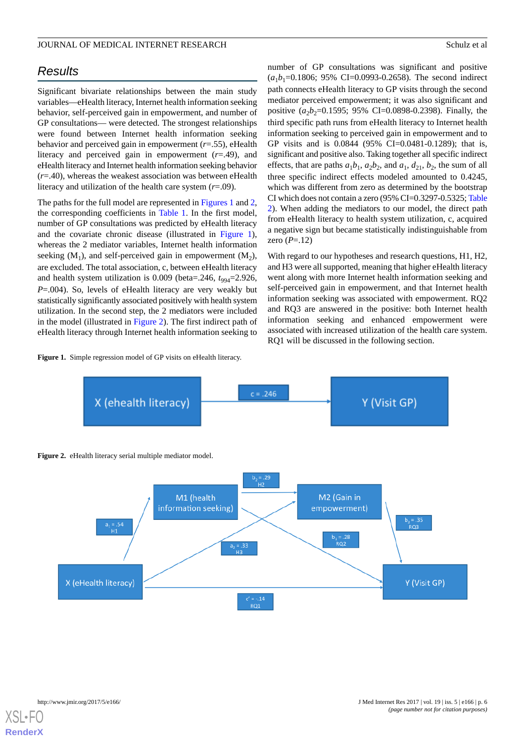# *Results*

Significant bivariate relationships between the main study variables—eHealth literacy, Internet health information seeking behavior, self-perceived gain in empowerment, and number of GP consultations— were detected. The strongest relationships were found between Internet health information seeking behavior and perceived gain in empowerment (*r*=.55), eHealth literacy and perceived gain in empowerment (*r*=.49), and eHealth literacy and Internet health information seeking behavior (*r*=.40), whereas the weakest association was between eHealth literacy and utilization of the health care system (*r*=.09).

The paths for the full model are represented in [Figures 1](#page-5-0) and [2](#page-5-1), the corresponding coefficients in [Table 1.](#page-6-0) In the first model, number of GP consultations was predicted by eHealth literacy and the covariate chronic disease (illustrated in [Figure 1\)](#page-5-0), whereas the 2 mediator variables, Internet health information seeking  $(M_1)$ , and self-perceived gain in empowerment  $(M_2)$ , are excluded. The total association, c, between eHealth literacy and health system utilization is  $0.009$  (beta= $0.246$ ,  $t_{994}$ = $2.926$ , *P*=.004). So, levels of eHealth literacy are very weakly but statistically significantly associated positively with health system utilization. In the second step, the 2 mediators were included in the model (illustrated in [Figure 2](#page-5-1)). The first indirect path of eHealth literacy through Internet health information seeking to

#### <span id="page-5-0"></span>Figure 1. Simple regression model of GP visits on eHealth literacy.

number of GP consultations was significant and positive  $(a_1b_1=0.1806; 95\% \text{ CI} = 0.0993-0.2658)$ . The second indirect path connects eHealth literacy to GP visits through the second mediator perceived empowerment; it was also significant and positive  $(a_2b_2=0.1595; 95\% \text{ CI} = 0.0898-0.2398)$ . Finally, the third specific path runs from eHealth literacy to Internet health information seeking to perceived gain in empowerment and to GP visits and is 0.0844 (95% CI=0.0481-0.1289); that is, significant and positive also. Taking together all specific indirect effects, that are paths  $a_1b_1$ ,  $a_2b_2$ , and  $a_1$ ,  $d_{21}$ ,  $b_2$ , the sum of all three specific indirect effects modeled amounted to 0.4245, which was different from zero as determined by the bootstrap CI which does not contain a zero (95% CI=0.3297-0.5325; [Table](#page-6-1) [2\)](#page-6-1). When adding the mediators to our model, the direct path from eHealth literacy to health system utilization, c, acquired a negative sign but became statistically indistinguishable from zero (*P*=.12)

With regard to our hypotheses and research questions, H1, H2, and H3 were all supported, meaning that higher eHealth literacy went along with more Internet health information seeking and self-perceived gain in empowerment, and that Internet health information seeking was associated with empowerment. RQ2 and RQ3 are answered in the positive: both Internet health information seeking and enhanced empowerment were associated with increased utilization of the health care system. RQ1 will be discussed in the following section.

<span id="page-5-1"></span>

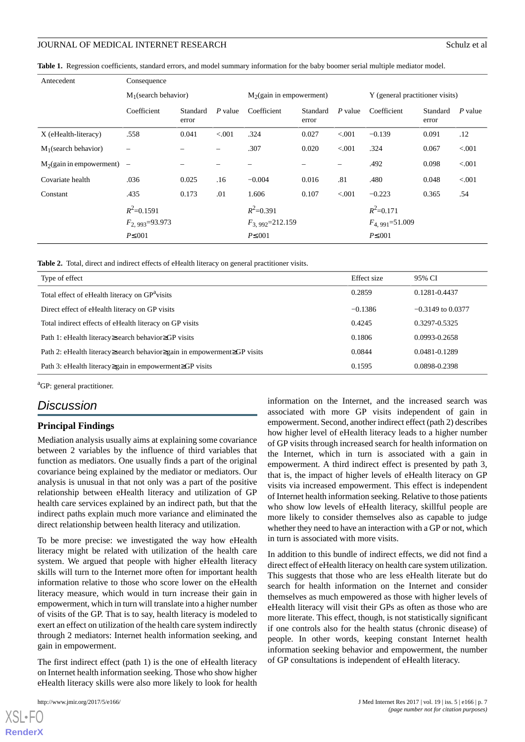<span id="page-6-0"></span>**Table 1.** Regression coefficients, standard errors, and model summary information for the baby boomer serial multiple mediator model.

| Antecedent                    | Consequence                           |                   |         |                                        |                   |           |                                      |                   |         |
|-------------------------------|---------------------------------------|-------------------|---------|----------------------------------------|-------------------|-----------|--------------------------------------|-------------------|---------|
|                               | $M_1$ (search behavior)               |                   |         | M <sub>2</sub> (gain in empowerment)   |                   |           | Y (general practitioner visits)      |                   |         |
|                               | Coefficient                           | Standard<br>error | P value | Coefficient                            | Standard<br>error | $P$ value | Coefficient                          | Standard<br>error | P value |
| X (eHealth-literacy)          | .558                                  | 0.041             | < 0.001 | .324                                   | 0.027             | < 0.001   | $-0.139$                             | 0.091             | .12     |
| $M_1$ (search behavior)       | $\overline{\phantom{0}}$              |                   |         | .307                                   | 0.020             | < 0.001   | .324                                 | 0.067             | < 0.001 |
| $M_2$ (gain in empowerment) – |                                       |                   |         |                                        |                   | -         | .492                                 | 0.098             | < 0.001 |
| Covariate health              | .036                                  | 0.025             | .16     | $-0.004$                               | 0.016             | .81       | .480                                 | 0.048             | < 0.001 |
| Constant                      | .435                                  | 0.173             | .01     | 1.606                                  | 0.107             | < 0.001   | $-0.223$                             | 0.365             | .54     |
|                               | $R^2$ =0.1591                         |                   |         | $R^2 = 0.391$                          |                   |           | $R^2 = 0.171$                        |                   |         |
|                               | $F_{2.993} = 93.973$<br>$P\leq 0.001$ |                   |         | $F_{3.992} = 212.159$<br>$P\leq 0.001$ |                   |           | $F_{4,991} = 51.009$<br>$P\leq 0.01$ |                   |         |

<span id="page-6-1"></span>**Table 2.** Total, direct and indirect effects of eHealth literacy on general practitioner visits.

| Type of effect                                                                 | Effect size | 95% CI              |
|--------------------------------------------------------------------------------|-------------|---------------------|
| Total effect of eHealth literacy on GP <sup>a</sup> visits                     | 0.2859      | 0.1281-0.4437       |
| Direct effect of eHealth literacy on GP visits                                 | $-0.1386$   | $-0.3149$ to 0.0377 |
| Total indirect effects of eHealth literacy on GP visits                        | 0.4245      | 0.3297-0.5325       |
| Path 1: eHealth literacy≥search behavior≥GP visits                             | 0.1806      | 0.0993-0.2658       |
| Path 2: eHealth literacy earch behavior equipment per proport $\geq$ GP visits | 0.0844      | 0.0481-0.1289       |
| Path 3: eHealth literacy≥gain in empowerment≥GP visits                         | 0.1595      | 0.0898-0.2398       |

<sup>a</sup>GP: general practitioner.

# *Discussion*

#### **Principal Findings**

Mediation analysis usually aims at explaining some covariance between 2 variables by the influence of third variables that function as mediators. One usually finds a part of the original covariance being explained by the mediator or mediators. Our analysis is unusual in that not only was a part of the positive relationship between eHealth literacy and utilization of GP health care services explained by an indirect path, but that the indirect paths explain much more variance and eliminated the direct relationship between health literacy and utilization.

To be more precise: we investigated the way how eHealth literacy might be related with utilization of the health care system. We argued that people with higher eHealth literacy skills will turn to the Internet more often for important health information relative to those who score lower on the eHealth literacy measure, which would in turn increase their gain in empowerment, which in turn will translate into a higher number of visits of the GP. That is to say, health literacy is modeled to exert an effect on utilization of the health care system indirectly through 2 mediators: Internet health information seeking, and gain in empowerment.

The first indirect effect (path 1) is the one of eHealth literacy on Internet health information seeking. Those who show higher eHealth literacy skills were also more likely to look for health

[XSL](http://www.w3.org/Style/XSL)•FO **[RenderX](http://www.renderx.com/)**

information on the Internet, and the increased search was associated with more GP visits independent of gain in empowerment. Second, another indirect effect (path 2) describes how higher level of eHealth literacy leads to a higher number of GP visits through increased search for health information on the Internet, which in turn is associated with a gain in empowerment. A third indirect effect is presented by path 3, that is, the impact of higher levels of eHealth literacy on GP visits via increased empowerment. This effect is independent of Internet health information seeking. Relative to those patients who show low levels of eHealth literacy, skillful people are more likely to consider themselves also as capable to judge whether they need to have an interaction with a GP or not, which in turn is associated with more visits.

In addition to this bundle of indirect effects, we did not find a direct effect of eHealth literacy on health care system utilization. This suggests that those who are less eHealth literate but do search for health information on the Internet and consider themselves as much empowered as those with higher levels of eHealth literacy will visit their GPs as often as those who are more literate. This effect, though, is not statistically significant if one controls also for the health status (chronic disease) of people. In other words, keeping constant Internet health information seeking behavior and empowerment, the number of GP consultations is independent of eHealth literacy.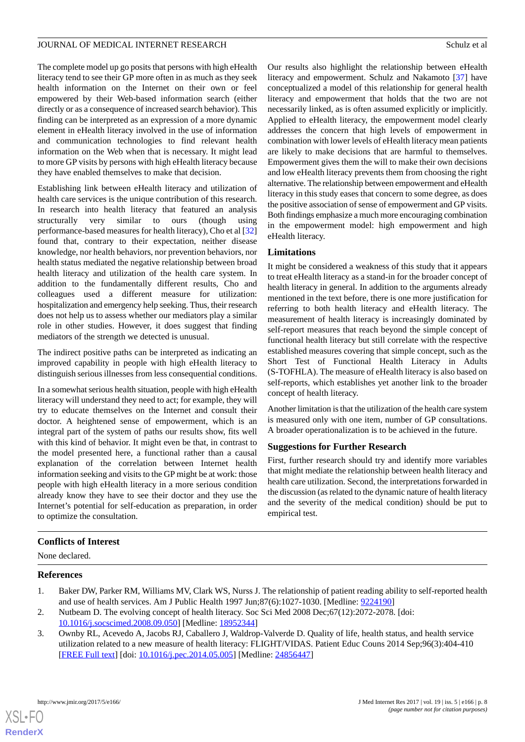The complete model up go posits that persons with high eHealth literacy tend to see their GP more often in as much as they seek health information on the Internet on their own or feel empowered by their Web-based information search (either directly or as a consequence of increased search behavior). This finding can be interpreted as an expression of a more dynamic element in eHealth literacy involved in the use of information and communication technologies to find relevant health information on the Web when that is necessary. It might lead to more GP visits by persons with high eHealth literacy because they have enabled themselves to make that decision.

Establishing link between eHealth literacy and utilization of health care services is the unique contribution of this research. In research into health literacy that featured an analysis structurally very similar to ours (though using performance-based measures for health literacy), Cho et al [\[32](#page-9-5)] found that, contrary to their expectation, neither disease knowledge, nor health behaviors, nor prevention behaviors, nor health status mediated the negative relationship between broad health literacy and utilization of the health care system. In addition to the fundamentally different results, Cho and colleagues used a different measure for utilization: hospitalization and emergency help seeking. Thus, their research does not help us to assess whether our mediators play a similar role in other studies. However, it does suggest that finding mediators of the strength we detected is unusual.

The indirect positive paths can be interpreted as indicating an improved capability in people with high eHealth literacy to distinguish serious illnesses from less consequential conditions.

In a somewhat serious health situation, people with high eHealth literacy will understand they need to act; for example, they will try to educate themselves on the Internet and consult their doctor. A heightened sense of empowerment, which is an integral part of the system of paths our results show, fits well with this kind of behavior. It might even be that, in contrast to the model presented here, a functional rather than a causal explanation of the correlation between Internet health information seeking and visits to the GP might be at work: those people with high eHealth literacy in a more serious condition already know they have to see their doctor and they use the Internet's potential for self-education as preparation, in order to optimize the consultation.

Our results also highlight the relationship between eHealth literacy and empowerment. Schulz and Nakamoto [\[37](#page-9-10)] have conceptualized a model of this relationship for general health literacy and empowerment that holds that the two are not necessarily linked, as is often assumed explicitly or implicitly. Applied to eHealth literacy, the empowerment model clearly addresses the concern that high levels of empowerment in combination with lower levels of eHealth literacy mean patients are likely to make decisions that are harmful to themselves. Empowerment gives them the will to make their own decisions and low eHealth literacy prevents them from choosing the right alternative. The relationship between empowerment and eHealth literacy in this study eases that concern to some degree, as does the positive association of sense of empowerment and GP visits. Both findings emphasize a much more encouraging combination in the empowerment model: high empowerment and high eHealth literacy.

# **Limitations**

It might be considered a weakness of this study that it appears to treat eHealth literacy as a stand-in for the broader concept of health literacy in general. In addition to the arguments already mentioned in the text before, there is one more justification for referring to both health literacy and eHealth literacy. The measurement of health literacy is increasingly dominated by self-report measures that reach beyond the simple concept of functional health literacy but still correlate with the respective established measures covering that simple concept, such as the Short Test of Functional Health Literacy in Adults (S-TOFHLA). The measure of eHealth literacy is also based on self-reports, which establishes yet another link to the broader concept of health literacy.

Another limitation is that the utilization of the health care system is measured only with one item, number of GP consultations. A broader operationalization is to be achieved in the future.

# **Suggestions for Further Research**

First, further research should try and identify more variables that might mediate the relationship between health literacy and health care utilization. Second, the interpretations forwarded in the discussion (as related to the dynamic nature of health literacy and the severity of the medical condition) should be put to empirical test.

# <span id="page-7-0"></span>**Conflicts of Interest**

<span id="page-7-2"></span>None declared.

### <span id="page-7-1"></span>**References**

- 1. Baker DW, Parker RM, Williams MV, Clark WS, Nurss J. The relationship of patient reading ability to self-reported health and use of health services. Am J Public Health 1997 Jun;87(6):1027-1030. [Medline: [9224190](http://www.ncbi.nlm.nih.gov/entrez/query.fcgi?cmd=Retrieve&db=PubMed&list_uids=9224190&dopt=Abstract)]
- 2. Nutbeam D. The evolving concept of health literacy. Soc Sci Med 2008 Dec;67(12):2072-2078. [doi: [10.1016/j.socscimed.2008.09.050](http://dx.doi.org/10.1016/j.socscimed.2008.09.050)] [Medline: [18952344](http://www.ncbi.nlm.nih.gov/entrez/query.fcgi?cmd=Retrieve&db=PubMed&list_uids=18952344&dopt=Abstract)]
- 3. Ownby RL, Acevedo A, Jacobs RJ, Caballero J, Waldrop-Valverde D. Quality of life, health status, and health service utilization related to a new measure of health literacy: FLIGHT/VIDAS. Patient Educ Couns 2014 Sep;96(3):404-410 [[FREE Full text](http://europepmc.org/abstract/MED/24856447)] [doi: [10.1016/j.pec.2014.05.005](http://dx.doi.org/10.1016/j.pec.2014.05.005)] [Medline: [24856447](http://www.ncbi.nlm.nih.gov/entrez/query.fcgi?cmd=Retrieve&db=PubMed&list_uids=24856447&dopt=Abstract)]

 $XS$ -FO **[RenderX](http://www.renderx.com/)**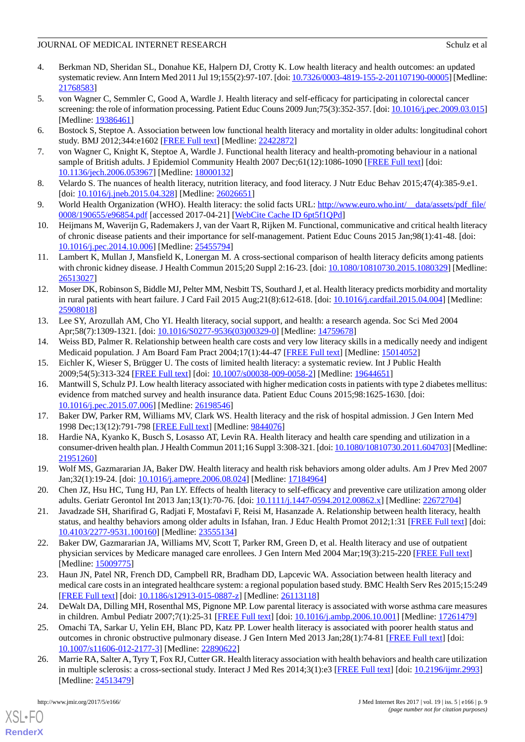- <span id="page-8-0"></span>4. Berkman ND, Sheridan SL, Donahue KE, Halpern DJ, Crotty K. Low health literacy and health outcomes: an updated systematic review. Ann Intern Med 2011 Jul 19;155(2):97-107. [doi: [10.7326/0003-4819-155-2-201107190-00005](http://dx.doi.org/10.7326/0003-4819-155-2-201107190-00005)] [Medline: [21768583](http://www.ncbi.nlm.nih.gov/entrez/query.fcgi?cmd=Retrieve&db=PubMed&list_uids=21768583&dopt=Abstract)]
- <span id="page-8-1"></span>5. von Wagner C, Semmler C, Good A, Wardle J. Health literacy and self-efficacy for participating in colorectal cancer screening: the role of information processing. Patient Educ Couns 2009 Jun;75(3):352-357. [doi: [10.1016/j.pec.2009.03.015](http://dx.doi.org/10.1016/j.pec.2009.03.015)] [Medline: [19386461](http://www.ncbi.nlm.nih.gov/entrez/query.fcgi?cmd=Retrieve&db=PubMed&list_uids=19386461&dopt=Abstract)]
- <span id="page-8-3"></span><span id="page-8-2"></span>6. Bostock S, Steptoe A. Association between low functional health literacy and mortality in older adults: longitudinal cohort study. BMJ 2012;344:e1602 [\[FREE Full text\]](http://www.bmj.com/cgi/pmidlookup?view=long&pmid=22422872) [Medline: [22422872\]](http://www.ncbi.nlm.nih.gov/entrez/query.fcgi?cmd=Retrieve&db=PubMed&list_uids=22422872&dopt=Abstract)
- <span id="page-8-4"></span>7. von Wagner C, Knight K, Steptoe A, Wardle J. Functional health literacy and health-promoting behaviour in a national sample of British adults. J Epidemiol Community Health 2007 Dec;61(12):1086-1090 [[FREE Full text](http://europepmc.org/abstract/MED/18000132)] [doi: [10.1136/jech.2006.053967\]](http://dx.doi.org/10.1136/jech.2006.053967) [Medline: [18000132](http://www.ncbi.nlm.nih.gov/entrez/query.fcgi?cmd=Retrieve&db=PubMed&list_uids=18000132&dopt=Abstract)]
- <span id="page-8-5"></span>8. Velardo S. The nuances of health literacy, nutrition literacy, and food literacy. J Nutr Educ Behav 2015;47(4):385-9.e1. [doi: [10.1016/j.jneb.2015.04.328\]](http://dx.doi.org/10.1016/j.jneb.2015.04.328) [Medline: [26026651\]](http://www.ncbi.nlm.nih.gov/entrez/query.fcgi?cmd=Retrieve&db=PubMed&list_uids=26026651&dopt=Abstract)
- <span id="page-8-6"></span>9. World Health Organization (WHO). Health literacy: the solid facts URL: [http://www.euro.who.int/\\_\\_data/assets/pdf\\_file/](http://www.euro.who.int/__data/assets/pdf_file/0008/190655/e96854.pdf) [0008/190655/e96854.pdf](http://www.euro.who.int/__data/assets/pdf_file/0008/190655/e96854.pdf) [accessed 2017-04-21] [\[WebCite Cache ID 6pt5f1QPd](http://www.webcitation.org/

                                            6pt5f1QPd)]
- <span id="page-8-7"></span>10. Heijmans M, Waverijn G, Rademakers J, van der Vaart R, Rijken M. Functional, communicative and critical health literacy of chronic disease patients and their importance for self-management. Patient Educ Couns 2015 Jan;98(1):41-48. [doi: [10.1016/j.pec.2014.10.006\]](http://dx.doi.org/10.1016/j.pec.2014.10.006) [Medline: [25455794](http://www.ncbi.nlm.nih.gov/entrez/query.fcgi?cmd=Retrieve&db=PubMed&list_uids=25455794&dopt=Abstract)]
- <span id="page-8-8"></span>11. Lambert K, Mullan J, Mansfield K, Lonergan M. A cross-sectional comparison of health literacy deficits among patients with chronic kidney disease. J Health Commun 2015;20 Suppl 2:16-23. [doi: [10.1080/10810730.2015.1080329\]](http://dx.doi.org/10.1080/10810730.2015.1080329) [Medline: [26513027](http://www.ncbi.nlm.nih.gov/entrez/query.fcgi?cmd=Retrieve&db=PubMed&list_uids=26513027&dopt=Abstract)]
- <span id="page-8-9"></span>12. Moser DK, Robinson S, Biddle MJ, Pelter MM, Nesbitt TS, Southard J, et al. Health literacy predicts morbidity and mortality in rural patients with heart failure. J Card Fail 2015 Aug;21(8):612-618. [doi: [10.1016/j.cardfail.2015.04.004\]](http://dx.doi.org/10.1016/j.cardfail.2015.04.004) [Medline: [25908018](http://www.ncbi.nlm.nih.gov/entrez/query.fcgi?cmd=Retrieve&db=PubMed&list_uids=25908018&dopt=Abstract)]
- 13. Lee SY, Arozullah AM, Cho YI. Health literacy, social support, and health: a research agenda. Soc Sci Med 2004 Apr;58(7):1309-1321. [doi: [10.1016/S0277-9536\(03\)00329-0](http://dx.doi.org/10.1016/S0277-9536(03)00329-0)] [Medline: [14759678\]](http://www.ncbi.nlm.nih.gov/entrez/query.fcgi?cmd=Retrieve&db=PubMed&list_uids=14759678&dopt=Abstract)
- <span id="page-8-10"></span>14. Weiss BD, Palmer R. Relationship between health care costs and very low literacy skills in a medically needy and indigent Medicaid population. J Am Board Fam Pract 2004;17(1):44-47 [[FREE Full text](http://www.jabfm.org/cgi/pmidlookup?view=long&pmid=15014052)] [Medline: [15014052](http://www.ncbi.nlm.nih.gov/entrez/query.fcgi?cmd=Retrieve&db=PubMed&list_uids=15014052&dopt=Abstract)]
- 15. Eichler K, Wieser S, Brügger U. The costs of limited health literacy: a systematic review. Int J Public Health 2009;54(5):313-324 [[FREE Full text](http://europepmc.org/abstract/MED/19644651)] [doi: [10.1007/s00038-009-0058-2\]](http://dx.doi.org/10.1007/s00038-009-0058-2) [Medline: [19644651](http://www.ncbi.nlm.nih.gov/entrez/query.fcgi?cmd=Retrieve&db=PubMed&list_uids=19644651&dopt=Abstract)]
- <span id="page-8-16"></span><span id="page-8-11"></span>16. Mantwill S, Schulz PJ. Low health literacy associated with higher medication costs in patients with type 2 diabetes mellitus: evidence from matched survey and health insurance data. Patient Educ Couns 2015;98:1625-1630. [doi: [10.1016/j.pec.2015.07.006\]](http://dx.doi.org/10.1016/j.pec.2015.07.006) [Medline: [26198546](http://www.ncbi.nlm.nih.gov/entrez/query.fcgi?cmd=Retrieve&db=PubMed&list_uids=26198546&dopt=Abstract)]
- 17. Baker DW, Parker RM, Williams MV, Clark WS. Health literacy and the risk of hospital admission. J Gen Intern Med 1998 Dec;13(12):791-798 [\[FREE Full text\]](http://onlinelibrary.wiley.com/resolve/openurl?genre=article&sid=nlm:pubmed&issn=0884-8734&date=1998&volume=13&issue=12&spage=791) [Medline: [9844076\]](http://www.ncbi.nlm.nih.gov/entrez/query.fcgi?cmd=Retrieve&db=PubMed&list_uids=9844076&dopt=Abstract)
- <span id="page-8-17"></span>18. Hardie NA, Kyanko K, Busch S, Losasso AT, Levin RA. Health literacy and health care spending and utilization in a consumer-driven health plan. J Health Commun 2011;16 Suppl 3:308-321. [doi: [10.1080/10810730.2011.604703\]](http://dx.doi.org/10.1080/10810730.2011.604703) [Medline: [21951260](http://www.ncbi.nlm.nih.gov/entrez/query.fcgi?cmd=Retrieve&db=PubMed&list_uids=21951260&dopt=Abstract)]
- <span id="page-8-12"></span>19. Wolf MS, Gazmararian JA, Baker DW. Health literacy and health risk behaviors among older adults. Am J Prev Med 2007 Jan;32(1):19-24. [doi: [10.1016/j.amepre.2006.08.024](http://dx.doi.org/10.1016/j.amepre.2006.08.024)] [Medline: [17184964](http://www.ncbi.nlm.nih.gov/entrez/query.fcgi?cmd=Retrieve&db=PubMed&list_uids=17184964&dopt=Abstract)]
- <span id="page-8-13"></span>20. Chen JZ, Hsu HC, Tung HJ, Pan LY. Effects of health literacy to self-efficacy and preventive care utilization among older adults. Geriatr Gerontol Int 2013 Jan;13(1):70-76. [doi: [10.1111/j.1447-0594.2012.00862.x](http://dx.doi.org/10.1111/j.1447-0594.2012.00862.x)] [Medline: [22672704\]](http://www.ncbi.nlm.nih.gov/entrez/query.fcgi?cmd=Retrieve&db=PubMed&list_uids=22672704&dopt=Abstract)
- <span id="page-8-14"></span>21. Javadzade SH, Sharifirad G, Radjati F, Mostafavi F, Reisi M, Hasanzade A. Relationship between health literacy, health status, and healthy behaviors among older adults in Isfahan, Iran. J Educ Health Promot 2012;1:31 [\[FREE Full text](http://www.jehp.net/article.asp?issn=2277-9531;year=2012;volume=1;issue=1;spage=31;epage=31;aulast=Reisi)] [doi: [10.4103/2277-9531.100160\]](http://dx.doi.org/10.4103/2277-9531.100160) [Medline: [23555134](http://www.ncbi.nlm.nih.gov/entrez/query.fcgi?cmd=Retrieve&db=PubMed&list_uids=23555134&dopt=Abstract)]
- 22. Baker DW, Gazmararian JA, Williams MV, Scott T, Parker RM, Green D, et al. Health literacy and use of outpatient physician services by Medicare managed care enrollees. J Gen Intern Med 2004 Mar;19(3):215-220 [[FREE Full text](http://onlinelibrary.wiley.com/resolve/openurl?genre=article&sid=nlm:pubmed&issn=0884-8734&date=2004&volume=19&issue=3&spage=215)] [Medline: [15009775](http://www.ncbi.nlm.nih.gov/entrez/query.fcgi?cmd=Retrieve&db=PubMed&list_uids=15009775&dopt=Abstract)]
- 23. Haun JN, Patel NR, French DD, Campbell RR, Bradham DD, Lapcevic WA. Association between health literacy and medical care costs in an integrated healthcare system: a regional population based study. BMC Health Serv Res 2015;15:249 [[FREE Full text](http://bmchealthservres.biomedcentral.com/articles/10.1186/s12913-015-0887-z)] [doi: [10.1186/s12913-015-0887-z](http://dx.doi.org/10.1186/s12913-015-0887-z)] [Medline: [26113118\]](http://www.ncbi.nlm.nih.gov/entrez/query.fcgi?cmd=Retrieve&db=PubMed&list_uids=26113118&dopt=Abstract)
- <span id="page-8-15"></span>24. DeWalt DA, Dilling MH, Rosenthal MS, Pignone MP. Low parental literacy is associated with worse asthma care measures in children. Ambul Pediatr 2007;7(1):25-31 [[FREE Full text](http://europepmc.org/abstract/MED/17261479)] [doi: [10.1016/j.ambp.2006.10.001\]](http://dx.doi.org/10.1016/j.ambp.2006.10.001) [Medline: [17261479\]](http://www.ncbi.nlm.nih.gov/entrez/query.fcgi?cmd=Retrieve&db=PubMed&list_uids=17261479&dopt=Abstract)
- 25. Omachi TA, Sarkar U, Yelin EH, Blanc PD, Katz PP. Lower health literacy is associated with poorer health status and outcomes in chronic obstructive pulmonary disease. J Gen Intern Med 2013 Jan;28(1):74-81 [\[FREE Full text\]](http://europepmc.org/abstract/MED/22890622) [doi: [10.1007/s11606-012-2177-3\]](http://dx.doi.org/10.1007/s11606-012-2177-3) [Medline: [22890622](http://www.ncbi.nlm.nih.gov/entrez/query.fcgi?cmd=Retrieve&db=PubMed&list_uids=22890622&dopt=Abstract)]
- 26. Marrie RA, Salter A, Tyry T, Fox RJ, Cutter GR. Health literacy association with health behaviors and health care utilization in multiple sclerosis: a cross-sectional study. Interact J Med Res 2014;3(1):e3 [\[FREE Full text\]](http://www.i-jmr.org/2014/1/e3/) [doi: [10.2196/ijmr.2993](http://dx.doi.org/10.2196/ijmr.2993)] [Medline: [24513479](http://www.ncbi.nlm.nih.gov/entrez/query.fcgi?cmd=Retrieve&db=PubMed&list_uids=24513479&dopt=Abstract)]

[XSL](http://www.w3.org/Style/XSL)•FO **[RenderX](http://www.renderx.com/)**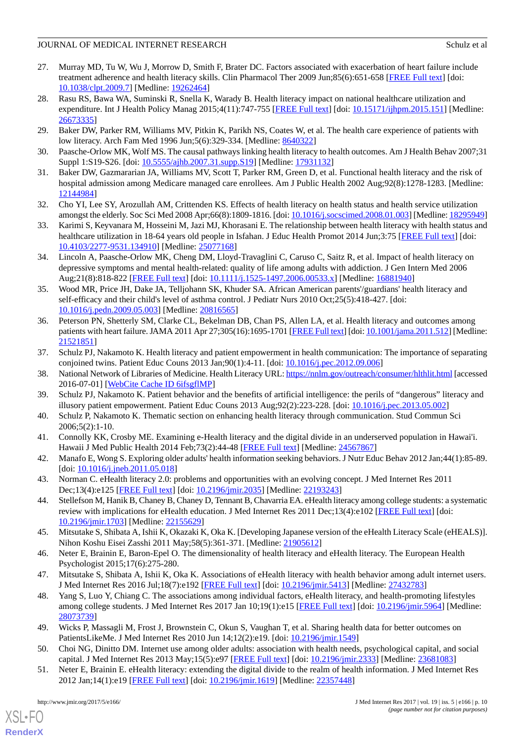- <span id="page-9-0"></span>27. Murray MD, Tu W, Wu J, Morrow D, Smith F, Brater DC. Factors associated with exacerbation of heart failure include treatment adherence and health literacy skills. Clin Pharmacol Ther 2009 Jun;85(6):651-658 [\[FREE Full text\]](http://europepmc.org/abstract/MED/19262464) [doi: [10.1038/clpt.2009.7\]](http://dx.doi.org/10.1038/clpt.2009.7) [Medline: [19262464\]](http://www.ncbi.nlm.nih.gov/entrez/query.fcgi?cmd=Retrieve&db=PubMed&list_uids=19262464&dopt=Abstract)
- <span id="page-9-1"></span>28. Rasu RS, Bawa WA, Suminski R, Snella K, Warady B. Health literacy impact on national healthcare utilization and expenditure. Int J Health Policy Manag 2015;4(11):747-755 [\[FREE Full text\]](http://europepmc.org/abstract/MED/26673335) [doi: [10.15171/ijhpm.2015.151\]](http://dx.doi.org/10.15171/ijhpm.2015.151) [Medline: [26673335](http://www.ncbi.nlm.nih.gov/entrez/query.fcgi?cmd=Retrieve&db=PubMed&list_uids=26673335&dopt=Abstract)]
- <span id="page-9-3"></span><span id="page-9-2"></span>29. Baker DW, Parker RM, Williams MV, Pitkin K, Parikh NS, Coates W, et al. The health care experience of patients with low literacy. Arch Fam Med 1996 Jun;5(6):329-334. [Medline: [8640322](http://www.ncbi.nlm.nih.gov/entrez/query.fcgi?cmd=Retrieve&db=PubMed&list_uids=8640322&dopt=Abstract)]
- <span id="page-9-4"></span>30. Paasche-Orlow MK, Wolf MS. The causal pathways linking health literacy to health outcomes. Am J Health Behav 2007;31 Suppl 1:S19-S26. [doi:  $10.5555/aibb.2007.31.supp.S19$ ] [Medline: [17931132](http://www.ncbi.nlm.nih.gov/entrez/query.fcgi?cmd=Retrieve&db=PubMed&list_uids=17931132&dopt=Abstract)]
- <span id="page-9-5"></span>31. Baker DW, Gazmararian JA, Williams MV, Scott T, Parker RM, Green D, et al. Functional health literacy and the risk of hospital admission among Medicare managed care enrollees. Am J Public Health 2002 Aug;92(8):1278-1283. [Medline: [12144984](http://www.ncbi.nlm.nih.gov/entrez/query.fcgi?cmd=Retrieve&db=PubMed&list_uids=12144984&dopt=Abstract)]
- <span id="page-9-6"></span>32. Cho YI, Lee SY, Arozullah AM, Crittenden KS. Effects of health literacy on health status and health service utilization amongst the elderly. Soc Sci Med 2008 Apr;66(8):1809-1816. [doi: [10.1016/j.socscimed.2008.01.003\]](http://dx.doi.org/10.1016/j.socscimed.2008.01.003) [Medline: [18295949\]](http://www.ncbi.nlm.nih.gov/entrez/query.fcgi?cmd=Retrieve&db=PubMed&list_uids=18295949&dopt=Abstract)
- <span id="page-9-7"></span>33. Karimi S, Keyvanara M, Hosseini M, Jazi MJ, Khorasani E. The relationship between health literacy with health status and healthcare utilization in 18-64 years old people in Isfahan. J Educ Health Promot 2014 Jun;3:75 [\[FREE Full text\]](http://www.jehp.net/article.asp?issn=2277-9531;year=2014;volume=3;issue=1;spage=75;epage=75;aulast=Karimi) [doi: [10.4103/2277-9531.134910\]](http://dx.doi.org/10.4103/2277-9531.134910) [Medline: [25077168](http://www.ncbi.nlm.nih.gov/entrez/query.fcgi?cmd=Retrieve&db=PubMed&list_uids=25077168&dopt=Abstract)]
- <span id="page-9-8"></span>34. Lincoln A, Paasche-Orlow MK, Cheng DM, Lloyd-Travaglini C, Caruso C, Saitz R, et al. Impact of health literacy on depressive symptoms and mental health-related: quality of life among adults with addiction. J Gen Intern Med 2006 Aug;21(8):818-822 [\[FREE Full text](http://onlinelibrary.wiley.com/resolve/openurl?genre=article&sid=nlm:pubmed&issn=0884-8734&date=2006&volume=21&issue=8&spage=818)] [doi: [10.1111/j.1525-1497.2006.00533.x](http://dx.doi.org/10.1111/j.1525-1497.2006.00533.x)] [Medline: [16881940\]](http://www.ncbi.nlm.nih.gov/entrez/query.fcgi?cmd=Retrieve&db=PubMed&list_uids=16881940&dopt=Abstract)
- <span id="page-9-9"></span>35. Wood MR, Price JH, Dake JA, Telljohann SK, Khuder SA. African American parents'/guardians' health literacy and self-efficacy and their child's level of asthma control. J Pediatr Nurs 2010 Oct;25(5):418-427. [doi: [10.1016/j.pedn.2009.05.003](http://dx.doi.org/10.1016/j.pedn.2009.05.003)] [Medline: [20816565\]](http://www.ncbi.nlm.nih.gov/entrez/query.fcgi?cmd=Retrieve&db=PubMed&list_uids=20816565&dopt=Abstract)
- <span id="page-9-11"></span><span id="page-9-10"></span>36. Peterson PN, Shetterly SM, Clarke CL, Bekelman DB, Chan PS, Allen LA, et al. Health literacy and outcomes among patients with heart failure. JAMA 2011 Apr 27;305(16):1695-1701 [\[FREE Full text\]](http://europepmc.org/abstract/MED/21521851) [doi: [10.1001/jama.2011.512\]](http://dx.doi.org/10.1001/jama.2011.512) [Medline: [21521851](http://www.ncbi.nlm.nih.gov/entrez/query.fcgi?cmd=Retrieve&db=PubMed&list_uids=21521851&dopt=Abstract)]
- <span id="page-9-12"></span>37. Schulz PJ, Nakamoto K. Health literacy and patient empowerment in health communication: The importance of separating conjoined twins. Patient Educ Couns 2013 Jan;90(1):4-11. [doi: [10.1016/j.pec.2012.09.006](http://dx.doi.org/10.1016/j.pec.2012.09.006)]
- <span id="page-9-13"></span>38. National Network of Libraries of Medicine. Health Literacy URL:<https://nnlm.gov/outreach/consumer/hlthlit.html> [accessed 2016-07-01] [\[WebCite Cache ID 6ifsgflMP\]](http://www.webcitation.org/

                                            6ifsgflMP)
- <span id="page-9-14"></span>39. Schulz PJ, Nakamoto K. Patient behavior and the benefits of artificial intelligence: the perils of "dangerous" literacy and illusory patient empowerment. Patient Educ Couns 2013 Aug;92(2):223-228. [doi: [10.1016/j.pec.2013.05.002](http://dx.doi.org/10.1016/j.pec.2013.05.002)]
- <span id="page-9-15"></span>40. Schulz P, Nakamoto K. Thematic section on enhancing health literacy through communication. Stud Commun Sci 2006;5(2):1-10.
- <span id="page-9-16"></span>41. Connolly KK, Crosby ME. Examining e-Health literacy and the digital divide in an underserved population in Hawai'i. Hawaii J Med Public Health 2014 Feb; 73(2): 44-48 [[FREE Full text](http://europepmc.org/abstract/MED/24567867)] [Medline: [24567867](http://www.ncbi.nlm.nih.gov/entrez/query.fcgi?cmd=Retrieve&db=PubMed&list_uids=24567867&dopt=Abstract)]
- <span id="page-9-17"></span>42. Manafo E, Wong S. Exploring older adults' health information seeking behaviors. J Nutr Educ Behav 2012 Jan;44(1):85-89. [doi: [10.1016/j.jneb.2011.05.018\]](http://dx.doi.org/10.1016/j.jneb.2011.05.018)
- <span id="page-9-18"></span>43. Norman C. eHealth literacy 2.0: problems and opportunities with an evolving concept. J Med Internet Res 2011 Dec;13(4):e125 [\[FREE Full text\]](http://www.jmir.org/2011/4/e125/) [doi: [10.2196/jmir.2035\]](http://dx.doi.org/10.2196/jmir.2035) [Medline: [22193243](http://www.ncbi.nlm.nih.gov/entrez/query.fcgi?cmd=Retrieve&db=PubMed&list_uids=22193243&dopt=Abstract)]
- <span id="page-9-19"></span>44. Stellefson M, Hanik B, Chaney B, Chaney D, Tennant B, Chavarria EA. eHealth literacy among college students: a systematic review with implications for eHealth education. J Med Internet Res 2011 Dec;13(4):e102 [\[FREE Full text](http://www.jmir.org/2011/4/e102/)] [doi: [10.2196/jmir.1703](http://dx.doi.org/10.2196/jmir.1703)] [Medline: [22155629](http://www.ncbi.nlm.nih.gov/entrez/query.fcgi?cmd=Retrieve&db=PubMed&list_uids=22155629&dopt=Abstract)]
- <span id="page-9-21"></span><span id="page-9-20"></span>45. Mitsutake S, Shibata A, Ishii K, Okazaki K, Oka K. [Developing Japanese version of the eHealth Literacy Scale (eHEALS)]. Nihon Koshu Eisei Zasshi 2011 May;58(5):361-371. [Medline: [21905612\]](http://www.ncbi.nlm.nih.gov/entrez/query.fcgi?cmd=Retrieve&db=PubMed&list_uids=21905612&dopt=Abstract)
- 46. Neter E, Brainin E, Baron-Epel O. The dimensionality of health literacy and eHealth literacy. The European Health Psychologist 2015;17(6):275-280.
- <span id="page-9-23"></span><span id="page-9-22"></span>47. Mitsutake S, Shibata A, Ishii K, Oka K. Associations of eHealth literacy with health behavior among adult internet users. J Med Internet Res 2016 Jul;18(7):e192 [[FREE Full text\]](http://www.jmir.org/2016/7/e192/) [doi: [10.2196/jmir.5413](http://dx.doi.org/10.2196/jmir.5413)] [Medline: [27432783\]](http://www.ncbi.nlm.nih.gov/entrez/query.fcgi?cmd=Retrieve&db=PubMed&list_uids=27432783&dopt=Abstract)
- <span id="page-9-24"></span>48. Yang S, Luo Y, Chiang C. The associations among individual factors, eHealth literacy, and health-promoting lifestyles among college students. J Med Internet Res 2017 Jan 10;19(1):e15 [\[FREE Full text\]](http://www.jmir.org/2017/1/e15) [doi: [10.2196/jmir.5964\]](http://dx.doi.org/10.2196/jmir.5964) [Medline: [28073739](http://www.ncbi.nlm.nih.gov/entrez/query.fcgi?cmd=Retrieve&db=PubMed&list_uids=28073739&dopt=Abstract)]
- 49. Wicks P, Massagli M, Frost J, Brownstein C, Okun S, Vaughan T, et al. Sharing health data for better outcomes on PatientsLikeMe. J Med Internet Res 2010 Jun 14;12(2):e19. [doi: [10.2196/jmir.1549\]](http://dx.doi.org/10.2196/jmir.1549)
- 50. Choi NG, Dinitto DM. Internet use among older adults: association with health needs, psychological capital, and social capital. J Med Internet Res 2013 May;15(5):e97 [[FREE Full text](http://www.jmir.org/2013/5/e97/)] [doi: [10.2196/jmir.2333](http://dx.doi.org/10.2196/jmir.2333)] [Medline: [23681083](http://www.ncbi.nlm.nih.gov/entrez/query.fcgi?cmd=Retrieve&db=PubMed&list_uids=23681083&dopt=Abstract)]
- 51. Neter E, Brainin E. eHealth literacy: extending the digital divide to the realm of health information. J Med Internet Res 2012 Jan;14(1):e19 [[FREE Full text](http://www.jmir.org/2012/1/e19/)] [doi: [10.2196/jmir.1619](http://dx.doi.org/10.2196/jmir.1619)] [Medline: [22357448](http://www.ncbi.nlm.nih.gov/entrez/query.fcgi?cmd=Retrieve&db=PubMed&list_uids=22357448&dopt=Abstract)]

[XSL](http://www.w3.org/Style/XSL)•FO **[RenderX](http://www.renderx.com/)**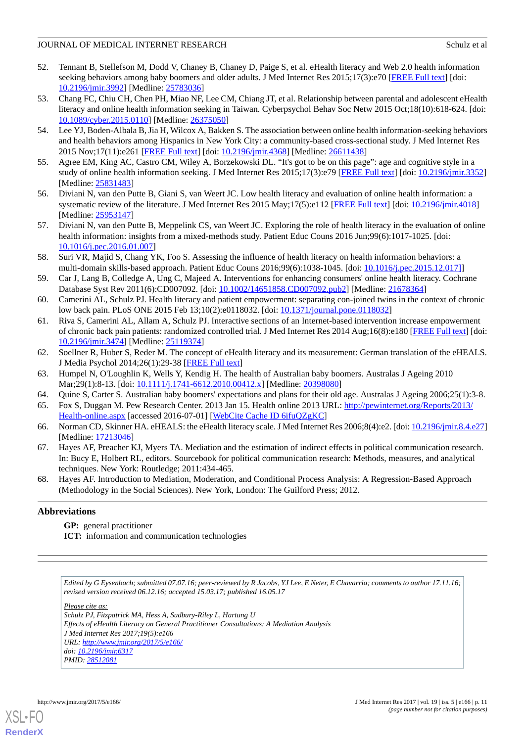- <span id="page-10-0"></span>52. Tennant B, Stellefson M, Dodd V, Chaney B, Chaney D, Paige S, et al. eHealth literacy and Web 2.0 health information seeking behaviors among baby boomers and older adults. J Med Internet Res 2015;17(3):e70 [\[FREE Full text](http://www.jmir.org/2015/3/e70/)] [doi: [10.2196/jmir.3992](http://dx.doi.org/10.2196/jmir.3992)] [Medline: [25783036](http://www.ncbi.nlm.nih.gov/entrez/query.fcgi?cmd=Retrieve&db=PubMed&list_uids=25783036&dopt=Abstract)]
- <span id="page-10-1"></span>53. Chang FC, Chiu CH, Chen PH, Miao NF, Lee CM, Chiang JT, et al. Relationship between parental and adolescent eHealth literacy and online health information seeking in Taiwan. Cyberpsychol Behav Soc Netw 2015 Oct;18(10):618-624. [doi: [10.1089/cyber.2015.0110](http://dx.doi.org/10.1089/cyber.2015.0110)] [Medline: [26375050](http://www.ncbi.nlm.nih.gov/entrez/query.fcgi?cmd=Retrieve&db=PubMed&list_uids=26375050&dopt=Abstract)]
- <span id="page-10-2"></span>54. Lee YJ, Boden-Albala B, Jia H, Wilcox A, Bakken S. The association between online health information-seeking behaviors and health behaviors among Hispanics in New York City: a community-based cross-sectional study. J Med Internet Res 2015 Nov;17(11):e261 [[FREE Full text](http://www.jmir.org/2015/11/e261/)] [doi: [10.2196/jmir.4368](http://dx.doi.org/10.2196/jmir.4368)] [Medline: [26611438\]](http://www.ncbi.nlm.nih.gov/entrez/query.fcgi?cmd=Retrieve&db=PubMed&list_uids=26611438&dopt=Abstract)
- <span id="page-10-3"></span>55. Agree EM, King AC, Castro CM, Wiley A, Borzekowski DL. "It's got to be on this page": age and cognitive style in a study of online health information seeking. J Med Internet Res 2015;17(3):e79 [\[FREE Full text\]](http://www.jmir.org/2015/3/e79/) [doi: [10.2196/jmir.3352\]](http://dx.doi.org/10.2196/jmir.3352) [Medline: [25831483](http://www.ncbi.nlm.nih.gov/entrez/query.fcgi?cmd=Retrieve&db=PubMed&list_uids=25831483&dopt=Abstract)]
- <span id="page-10-4"></span>56. Diviani N, van den Putte B, Giani S, van Weert JC. Low health literacy and evaluation of online health information: a systematic review of the literature. J Med Internet Res 2015 May;17(5):e112 [[FREE Full text](http://www.jmir.org/2015/5/e112/)] [doi: [10.2196/jmir.4018](http://dx.doi.org/10.2196/jmir.4018)] [Medline: [25953147](http://www.ncbi.nlm.nih.gov/entrez/query.fcgi?cmd=Retrieve&db=PubMed&list_uids=25953147&dopt=Abstract)]
- <span id="page-10-5"></span>57. Diviani N, van den Putte B, Meppelink CS, van Weert JC. Exploring the role of health literacy in the evaluation of online health information: insights from a mixed-methods study. Patient Educ Couns 2016 Jun;99(6):1017-1025. [doi: [10.1016/j.pec.2016.01.007\]](http://dx.doi.org/10.1016/j.pec.2016.01.007)
- <span id="page-10-6"></span>58. Suri VR, Majid S, Chang YK, Foo S. Assessing the influence of health literacy on health information behaviors: a multi-domain skills-based approach. Patient Educ Couns 2016;99(6):1038-1045. [doi: [10.1016/j.pec.2015.12.017\]](http://dx.doi.org/10.1016/j.pec.2015.12.017])]
- <span id="page-10-7"></span>59. Car J, Lang B, Colledge A, Ung C, Majeed A. Interventions for enhancing consumers' online health literacy. Cochrane Database Syst Rev 2011(6):CD007092. [doi: [10.1002/14651858.CD007092.pub2\]](http://dx.doi.org/10.1002/14651858.CD007092.pub2) [Medline: [21678364](http://www.ncbi.nlm.nih.gov/entrez/query.fcgi?cmd=Retrieve&db=PubMed&list_uids=21678364&dopt=Abstract)]
- <span id="page-10-8"></span>60. Camerini AL, Schulz PJ. Health literacy and patient empowerment: separating con-joined twins in the context of chronic low back pain. PLoS ONE 2015 Feb 13;10(2):e0118032. [doi: [10.1371/journal.pone.0118032](http://dx.doi.org/10.1371/journal.pone.0118032)]
- <span id="page-10-9"></span>61. Riva S, Camerini AL, Allam A, Schulz PJ. Interactive sections of an Internet-based intervention increase empowerment of chronic back pain patients: randomized controlled trial. J Med Internet Res 2014 Aug;16(8):e180 [\[FREE Full text](http://www.jmir.org/2014/8/e180/)] [doi: [10.2196/jmir.3474](http://dx.doi.org/10.2196/jmir.3474)] [Medline: [25119374](http://www.ncbi.nlm.nih.gov/entrez/query.fcgi?cmd=Retrieve&db=PubMed&list_uids=25119374&dopt=Abstract)]
- <span id="page-10-11"></span><span id="page-10-10"></span>62. Soellner R, Huber S, Reder M. The concept of eHealth literacy and its measurement: German translation of the eHEALS. J Media Psychol 2014;26(1):29-38 [[FREE Full text\]](http://econtent.hogrefe.com/doi/abs/10.1027/1864-1105/a000104)
- <span id="page-10-12"></span>63. Humpel N, O'Loughlin K, Wells Y, Kendig H. The health of Australian baby boomers. Australas J Ageing 2010 Mar;29(1):8-13. [doi: [10.1111/j.1741-6612.2010.00412.x](http://dx.doi.org/10.1111/j.1741-6612.2010.00412.x)] [Medline: [20398080](http://www.ncbi.nlm.nih.gov/entrez/query.fcgi?cmd=Retrieve&db=PubMed&list_uids=20398080&dopt=Abstract)]
- <span id="page-10-13"></span>64. Quine S, Carter S. Australian baby boomers' expectations and plans for their old age. Australas J Ageing 2006;25(1):3-8.
- <span id="page-10-14"></span>65. Fox S, Duggan M. Pew Research Center. 2013 Jan 15. Health online 2013 URL: [http://pewinternet.org/Reports/2013/](http://pewinternet.org/Reports/2013/Health-online.aspx) [Health-online.aspx](http://pewinternet.org/Reports/2013/Health-online.aspx) [accessed 2016-07-01] [[WebCite Cache ID 6ifuQZgKC\]](http://www.webcitation.org/

                                            6ifuQZgKC)
- <span id="page-10-15"></span>66. Norman CD, Skinner HA. eHEALS: the eHealth literacy scale. J Med Internet Res 2006;8(4):e2. [doi: [10.2196/jmir.8.4.e27\]](http://dx.doi.org/10.2196/jmir.8.4.e27) [Medline: [17213046](http://www.ncbi.nlm.nih.gov/entrez/query.fcgi?cmd=Retrieve&db=PubMed&list_uids=17213046&dopt=Abstract)]
- 67. Hayes AF, Preacher KJ, Myers TA. Mediation and the estimation of indirect effects in political communication research. In: Bucy E, Holbert RL, editors. Sourcebook for political communication research: Methods, measures, and analytical techniques. New York: Routledge; 2011:434-465.
- 68. Hayes AF. Introduction to Mediation, Moderation, and Conditional Process Analysis: A Regression-Based Approach (Methodology in the Social Sciences). New York, London: The Guilford Press; 2012.

# **Abbreviations**

**GP:** general practitioner

**ICT:** information and communication technologies

*Edited by G Eysenbach; submitted 07.07.16; peer-reviewed by R Jacobs, YJ Lee, E Neter, E Chavarria; comments to author 17.11.16; revised version received 06.12.16; accepted 15.03.17; published 16.05.17 Please cite as: Schulz PJ, Fitzpatrick MA, Hess A, Sudbury-Riley L, Hartung U Effects of eHealth Literacy on General Practitioner Consultations: A Mediation Analysis J Med Internet Res 2017;19(5):e166 URL: <http://www.jmir.org/2017/5/e166/> doi: [10.2196/jmir.6317](http://dx.doi.org/10.2196/jmir.6317) PMID: [28512081](http://www.ncbi.nlm.nih.gov/entrez/query.fcgi?cmd=Retrieve&db=PubMed&list_uids=28512081&dopt=Abstract)*